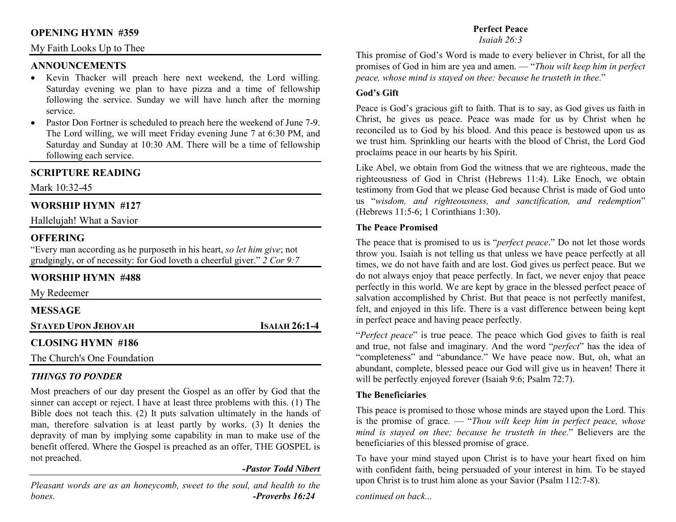## **OPENING HYMN #359**

## My Faith Looks Up to Thee

## **ANNOUNCEMENTS**

- Kevin Thacker will preach here next weekend, the Lord willing. Saturday evening we plan to have pizza and a time of fellowship following the service. Sunday we will have lunch after the morning service.
- Pastor Don Fortner is scheduled to preach here the weekend of June 7-9. The Lord willing, we will meet Friday evening June 7 at 6:30 PM, and Saturday and Sunday at 10:30 AM. There will be a time of fellowship following each service.

## **SCRIPTURE READING**

Mark 10:32-45

## **WORSHIP HYMN #127**

Hallelujah! What a Savior

## **OFFERING**

 "Every man according as he purposeth in his heart, *so let him give*; not grudgingly, or of necessity: for God loveth a cheerful giver." *2 Cor 9:7*

## **WORSHIP HYMN #488**

My Redeemer

| <b>MESSAGE</b> |  |
|----------------|--|
|                |  |

**STAYED UPON JEHOVAH**

## **CLOSING HYMN #186**

The Church's One Foundation

### *THINGS TO PONDER*

 Most preachers of our day present the Gospel as an offer by God that the sinner can accept or reject. I have at least three problems with this. (1) The Bible does not teach this. (2) It puts salvation ultimately in the hands of man, therefore salvation is at least partly by works. (3) It denies the depravity of man by implying some capability in man to make use of the benefit offered. Where the Gospel is preached as an offer, THE GOSPEL is not preached.

### *-Pastor Todd Nibert*

**<sup>I</sup>SAIAH 26:1-4** 

*Pleasant words are as an honeycomb, sweet to the soul, and health to the bones. -Proverbs 16:24* 

## **Perfect Peace**

*Isaiah 26:3*

This promise of God's Word is made to every believer in Christ, for all the promises of God in him are yea and amen. — "*Thou wilt keep him in perfect peace, whose mind is stayed on thee: because he trusteth in thee*."

### **God's Gift**

Peace is God's gracious gift to faith. That is to say, as God gives us faith in Christ, he gives us peace. Peace was made for us by Christ when he reconciled us to God by his blood. And this peace is bestowed upon us as we trust him. Sprinkling our hearts with the blood of Christ, the Lord God proclaims peace in our hearts by his Spirit.

Like Abel, we obtain from God the witness that we are righteous, made the righteousness of God in Christ (Hebrews 11:4). Like Enoch, we obtain testimony from God that we please God because Christ is made of God unto us "*wisdom, and righteousness, and sanctification, and redemption*" (Hebrews 11:5-6; 1 Corinthians 1:30).

#### **The Peace Promised**

The peace that is promised to us is "*perfect peace*." Do not let those words throw you. Isaiah is not telling us that unless we have peace perfectly at all times, we do not have faith and are lost. God gives us perfect peace. But we do not always enjoy that peace perfectly. In fact, we never enjoy that peace perfectly in this world. We are kept by grace in the blessed perfect peace of salvation accomplished by Christ. But that peace is not perfectly manifest, felt, and enjoyed in this life. There is a vast difference between being kept in perfect peace and having peace perfectly.

"*Perfect peace*" is true peace. The peace which God gives to faith is real and true, not false and imaginary. And the word "*perfect*" has the idea of "completeness" and "abundance." We have peace now. But, oh, what an abundant, complete, blessed peace our God will give us in heaven! There it will be perfectly enjoyed forever (Isaiah 9:6; Psalm 72:7).

### **The Beneficiaries**

This peace is promised to those whose minds are stayed upon the Lord. This is the promise of grace. — "*Thou wilt keep him in perfect peace, whose mind is stayed on thee; because he trusteth in thee*." Believers are the beneficiaries of this blessed promise of grace.

To have your mind stayed upon Christ is to have your heart fixed on him with confident faith, being persuaded of your interest in him. To be stayed upon Christ is to trust him alone as your Savior (Psalm 112:7-8).

*continued on back...*